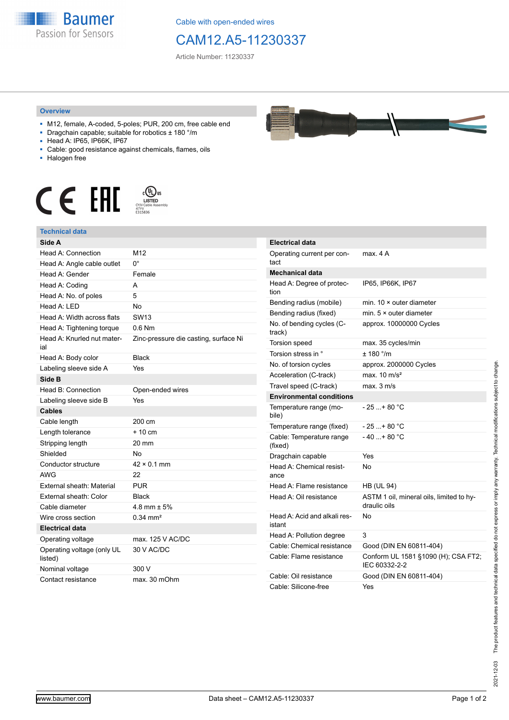

Cable with open-ended wires

## CAM12.A5-11230337

Article Number: 11230337

## **Overview**

- M12, female, A-coded, 5-poles; PUR, 200 cm, free cable end
- Dragchain capable; suitable for robotics ± 180 °/m
- Head A: IP65, IP66K, IP67
- Cable: good resistance against chemicals, flames, oils
- Halogen free





| Side A                                |                                       |
|---------------------------------------|---------------------------------------|
| Head A: Connection                    | M12                                   |
| Head A: Angle cable outlet            | $0^{\circ}$                           |
| Head A: Gender                        | Female                                |
| Head A: Coding                        | A                                     |
| Head A: No. of poles                  | 5                                     |
| Head $A \cdot IFD$                    | No                                    |
| Head A: Width across flats            | SW <sub>13</sub>                      |
| Head A: Tightening torque             | $0.6$ Nm                              |
| Head A: Knurled nut mater-<br>ial     | Zinc-pressure die casting, surface Ni |
| Head A: Body color                    | <b>Black</b>                          |
| Labeling sleeve side A                | Yes                                   |
| Side B                                |                                       |
| Head B: Connection                    | Open-ended wires                      |
| Labeling sleeve side B                | Yes                                   |
| <b>Cables</b>                         |                                       |
| Cable length                          | 200 cm                                |
| Length tolerance                      | $+10 \text{ cm}$                      |
| Stripping length                      | 20 mm                                 |
| Shielded                              | No                                    |
| Conductor structure                   | $42 \times 0.1$ mm                    |
| AWG                                   | 22                                    |
| External sheath: Material             | <b>PUR</b>                            |
| External sheath: Color                | <b>Black</b>                          |
| Cable diameter                        | $4.8$ mm $\pm 5%$                     |
| Wire cross section                    | $0.34 \text{ mm}^2$                   |
| <b>Electrical data</b>                |                                       |
| Operating voltage                     | max, 125 V AC/DC                      |
| Operating voltage (only UL<br>listed) | 30 V AC/DC                            |
| Nominal voltage                       | 300 V                                 |
| Contact resistance                    | max. 30 mOhm                          |

| <b>Electrical data</b>                 |                                                          |
|----------------------------------------|----------------------------------------------------------|
| Operating current per con-<br>tact     | max 4 A                                                  |
| <b>Mechanical data</b>                 |                                                          |
| Head A: Degree of protec-<br>tion      | IP65, IP66K, IP67                                        |
| Bending radius (mobile)                | min. $10 \times$ outer diameter                          |
| Bending radius (fixed)                 | min. $5 \times$ outer diameter                           |
| No. of bending cycles (C-<br>track)    | approx. 10000000 Cycles                                  |
| Torsion speed                          | max. 35 cycles/min                                       |
| Torsion stress in °                    | ± 180 °/m                                                |
| No. of torsion cycles                  | approx. 2000000 Cycles                                   |
| Acceleration (C-track)                 | max. $10 \text{ m/s}^2$                                  |
| Travel speed (C-track)                 | max. 3 m/s                                               |
| <b>Environmental conditions</b>        |                                                          |
| Temperature range (mo-<br>bile)        | - 25 + 80 °C                                             |
| Temperature range (fixed)              | - 25 + 80 °C                                             |
| Cable: Temperature range<br>(fixed)    | $-40+80 °C$                                              |
| Dragchain capable                      | Yes                                                      |
| Head A: Chemical resist-<br>ance       | N٥                                                       |
| Head A: Flame resistance               | <b>HB (UL 94)</b>                                        |
| Head A: Oil resistance                 | ASTM 1 oil, mineral oils, limited to hy-<br>draulic oils |
| Head A: Acid and alkali res-<br>istant | No                                                       |
| Head A: Pollution degree               | 3                                                        |
| Cable: Chemical resistance             | Good (DIN EN 60811-404)                                  |
| Cable: Flame resistance                | Conform UL 1581 §1090 (H); CSA FT2;<br>IEC 60332-2-2     |
| Cable: Oil resistance                  | Good (DIN EN 60811-404)                                  |
| Cable: Silicone-free                   | Yes                                                      |